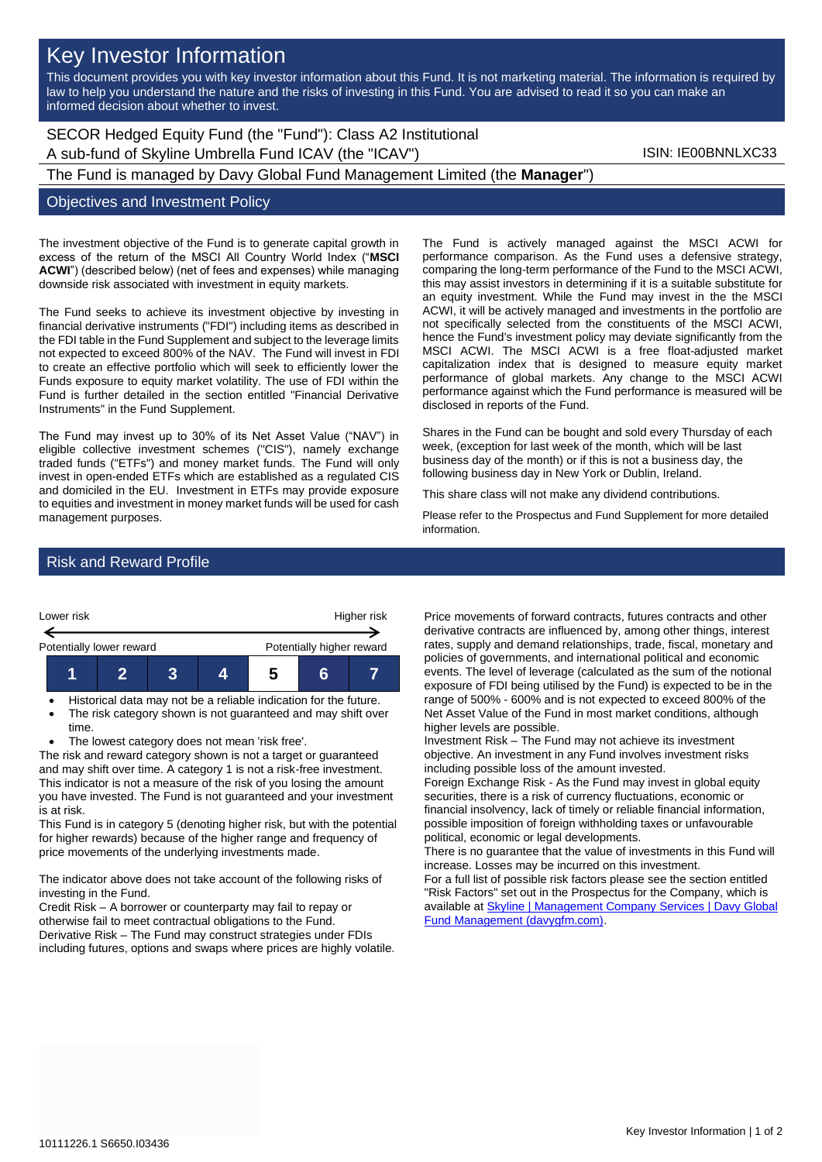# Key Investor Information

This document provides you with key investor information about this Fund. It is not marketing material. The information is required by law to help you understand the nature and the risks of investing in this Fund. You are advised to read it so you can make an informed decision about whether to invest.

# SECOR Hedged Equity Fund (the "Fund"): Class A2 Institutional A sub-fund of Skyline Umbrella Fund ICAV (the "ICAV") Sub-fund iSIN: IE00BNNLXC33

The Fund is managed by Davy Global Fund Management Limited (the **Manager**")

#### Objectives and Investment Policy

The investment objective of the Fund is to generate capital growth in excess of the return of the MSCI All Country World Index ("**MSCI ACWI**") (described below) (net of fees and expenses) while managing downside risk associated with investment in equity markets.

The Fund seeks to achieve its investment objective by investing in financial derivative instruments ("FDI") including items as described in the FDI table in the Fund Supplement and subject to the leverage limits not expected to exceed 800% of the NAV. The Fund will invest in FDI to create an effective portfolio which will seek to efficiently lower the Funds exposure to equity market volatility. The use of FDI within the Fund is further detailed in the section entitled "Financial Derivative Instruments" in the Fund Supplement.

The Fund may invest up to 30% of its Net Asset Value ("NAV") in eligible collective investment schemes ("CIS"), namely exchange traded funds ("ETFs") and money market funds. The Fund will only invest in open-ended ETFs which are established as a regulated CIS and domiciled in the EU. Investment in ETFs may provide exposure to equities and investment in money market funds will be used for cash management purposes.

The Fund is actively managed against the MSCI ACWI for performance comparison. As the Fund uses a defensive strategy, comparing the long-term performance of the Fund to the MSCI ACWI, this may assist investors in determining if it is a suitable substitute for an equity investment. While the Fund may invest in the the MSCI ACWI, it will be actively managed and investments in the portfolio are not specifically selected from the constituents of the MSCI ACWI, hence the Fund's investment policy may deviate significantly from the MSCI ACWI. The MSCI ACWI is a free float-adjusted market capitalization index that is designed to measure equity market performance of global markets. Any change to the MSCI ACWI performance against which the Fund performance is measured will be disclosed in reports of the Fund.

Shares in the Fund can be bought and sold every Thursday of each week, (exception for last week of the month, which will be last business day of the month) or if this is not a business day, the following business day in New York or Dublin, Ireland.

This share class will not make any dividend contributions.

Please refer to the Prospectus and Fund Supplement for more detailed information.

## Risk and Reward Profile



- Historical data may not be a reliable indication for the future.
- The risk category shown is not guaranteed and may shift over time.
- The lowest category does not mean 'risk free'.

The risk and reward category shown is not a target or guaranteed and may shift over time. A category 1 is not a risk-free investment. This indicator is not a measure of the risk of you losing the amount you have invested. The Fund is not guaranteed and your investment is at risk.

This Fund is in category 5 (denoting higher risk, but with the potential for higher rewards) because of the higher range and frequency of price movements of the underlying investments made.

The indicator above does not take account of the following risks of investing in the Fund.

Credit Risk – A borrower or counterparty may fail to repay or otherwise fail to meet contractual obligations to the Fund. Derivative Risk – The Fund may construct strategies under FDIs including futures, options and swaps where prices are highly volatile. Price movements of forward contracts, futures contracts and other derivative contracts are influenced by, among other things, interest rates, supply and demand relationships, trade, fiscal, monetary and policies of governments, and international political and economic events. The level of leverage (calculated as the sum of the notional exposure of FDI being utilised by the Fund) is expected to be in the range of 500% - 600% and is not expected to exceed 800% of the Net Asset Value of the Fund in most market conditions, although higher levels are possible.

Investment Risk – The Fund may not achieve its investment objective. An investment in any Fund involves investment risks including possible loss of the amount invested.

Foreign Exchange Risk - As the Fund may invest in global equity securities, there is a risk of currency fluctuations, economic or financial insolvency, lack of timely or reliable financial information, possible imposition of foreign withholding taxes or unfavourable political, economic or legal developments.

There is no guarantee that the value of investments in this Fund will increase. Losses may be incurred on this investment.

For a full list of possible risk factors please see the section entitled "Risk Factors" set out in the Prospectus for the Company, which is available a[t Skyline | Management Company Services | Davy Global](https://www.davygfm.com/funds-factsheets/management-company-services/ireland/skyline.html)  [Fund Management \(davygfm.com\).](https://www.davygfm.com/funds-factsheets/management-company-services/ireland/skyline.html)